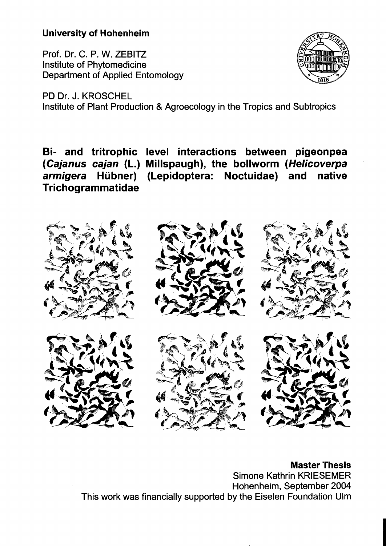## **University of Hohenheim**

Prof. Dr. C. P. W. ZEBITZ Institute of Phytomedicine Department of Applied Entomology



PD Dr. J. KROSCHEL Institute of Plant Production & Agroecology in the Tropics and Subtropics

**Bi- and tritrophic level interactions between pigeonpea (Cajanus cajan (L.) Millspaugh), the bollworm (Helicoverpa armigera Hübner) (Lepidoptera: Noctuidae) and native Trichogrammatidae** 



**Master Thesis**  Simone Kathrin KRIESEMER Hohenheim, September 2004 This work was financially supported by the Eiselen Foundation Ulm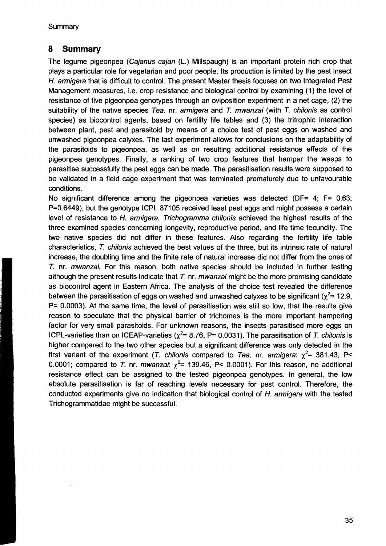## **8 Summary**

The legume pigeonpea (Cajanus cajan (L.) Millspaugh) is an important protein rich crop that plays a particular role for vegetarian and poor people. Its production is limited by the pest insect H. armigera that is difficult to control. The present Master thesis focuses on two Integrated Pest Management measures, i.e. crop resistance and biological control by examining (1) the level of resistance of five pigeonpea genotypes through an oviposition experiment in a net cage, (2) the suitability of the native species Tea. nr. armigera and  $T$ . mwanzai (with  $T$ . chilonis as control species) as biocontrol agents, based on fertility life tables and (3) the tritrophic interaction between plant, pest and parasitoid by means of a choice test of pest eggs on washed and unwashed pigeonpea calyxes. The last experiment allows for conclusions on the adaptability of the parasitoids to pigeonpea, as weil as on resulting additional resistance effects of the pigeonpea genotypes. Finally, a ranking of two crop features that hamper the wasps to parasitise successfully the pest eggs can be made. The parasitisation results were supposed to be validated in a field cage experiment that was terminated prematurely due to unfavourable conditions.

No significant difference among the pigeonpea varieties was detected (DF= 4; F= 0.63; P=0.6449), but the genotype ICPL 87105 received least pest eggs and might possess a certain level of resistance to H. armigera. Trichogramma chilonis achieved the highest results of the three examined species concerning longevity, repraductive period, and life time fecundity. The two native species did not differ in these features. Also regarding the fertility life table characteristics, T. chilonis achieved the best values of the three, but its intrinsic rate of natural increase, the doubling time and the finite rate of natural increase did not differ from the ones of T. nr. mwanzai. For this reason, both native species should be included in further testing although the present results indicate that  $T$ . nr. *mwanzai* might be the more promising candidate as biocontrol agent in Eastern Africa. The analysis of the choice test revealed the difference between the parasitisation of eggs on washed and unwashed calyxes to be significant ( $\gamma^2$ = 12.9, P= 0.0003). At the same time, the level of parasitisation was still so low, that the results give reason to speculate that the physical barrier of trichomes is the more important hampering factor for very small parasitoids. For unknown reasons, the insects parasitised more eggs on ICPL-varieties than on ICEAP-varieties ( $\chi^2$ = 8.76, P= 0.0031). The parasitisation of T. chilonis is higher compared to the two other species but a significant difference was only detected in the first variant of the experiment (T. chilonis compared to Tea. nr. armigera:  $\chi^2$ = 381.43, P< 0.0001; compared to T. nr. *mwanzai:*  $\chi^2$  = 139.46, P< 0.0001). For this reason, no additional resistance effect can be assigned to the tested pigeonpea genotypes. In general, the low absolute parasitisation is far of reaching levels necessary for pest control. Therefore, the conducted experiments give no indication that biological control of H. armigera with the tested Trichogrammatidae might be successful.